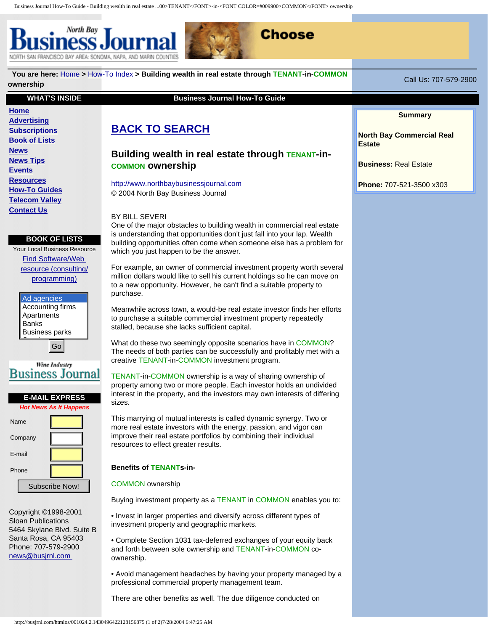North Bay NORTH SAN FRANCISCO BAY AREA: SONOMA, NAPA, AND MARIN



# **You are here:** [Home](http://busjrnl.com/htmlos/001024.3.085846388828156875) **>** [How-To Index](http://busjrnl.com/htmlos/001024.3.115202301628156875) **> Building wealth in real estate through TENANT-in-COMMON ownership** Call Us: 707-579-2900 **WHAT'S INSIDE Business Journal How-To Guide [Home](http://busjrnl.com/index.html)**

### **[Advertising](http://busjrnl.com/advertising/advert.shtml) [Subscriptions](http://busjrnl.com/htmlos/001024.3.269952844128156875) [Book of Lists](http://busjrnl.com/htmlos/001024.3.397075379528156875) [News](http://busjrnl.com/htmlos/001024.3.455362979428156875) [News Tips](http://busjrnl.com/htmlos/001024.3.540103544628156875) [Events](http://busjrnl.com/htmlos/001024.3.637207960128156875) [Resources](http://busjrnl.com/htmlos/001024.3.790134077428156875) [How-To Guides](http://busjrnl.com/htmlos/001024.3.852504924728156875) [Telecom Valley](http://busjrnl.com/telecom/index.shtml) [Contact Us](http://busjrnl.com/htmlos/001024.3.1041223393028156875)**

### **BOOK OF LISTS**

Your Local Business Resource [Find Software/Web](http://busjrnl.com/htmlos/001024.3.1245902372728156875)  [resource \(consulting/](http://busjrnl.com/htmlos/001024.3.1245902372728156875) [programming\)](http://busjrnl.com/htmlos/001024.3.1245902372728156875)

| Ad agencies           |
|-----------------------|
| Accounting firms      |
| Apartments            |
| <b>Banks</b>          |
| <b>Business parks</b> |
|                       |



 $|Go|$ 



Copyright ©1998-2001 Sloan Publications 5464 Skylane Blvd. Suite B Santa Rosa, CA 95403 Phone: 707-579-2900 [news@busjrnl.com](mailto:news@busjrnl.com)

## **[BACK TO SEARCH](http://busjrnl.com/htmlos/001024.3.1466331748028156875)**

## **Building wealth in real estate through TENANT-in-COMMON ownership**

[http://www.northbaybusinessjournal.com](http://www.northbaybusinessjournal.com/) © 2004 North Bay Business Journal

#### BY BILL SEVERI

One of the major obstacles to building wealth in commercial real estate is understanding that opportunities don't just fall into your lap. Wealth building opportunities often come when someone else has a problem for which you just happen to be the answer.

For example, an owner of commercial investment property worth several million dollars would like to sell his current holdings so he can move on to a new opportunity. However, he can't find a suitable property to purchase.

Meanwhile across town, a would-be real estate investor finds her efforts to purchase a suitable commercial investment property repeatedly stalled, because she lacks sufficient capital.

What do these two seemingly opposite scenarios have in COMMON? The needs of both parties can be successfully and profitably met with a creative TENANT-in-COMMON investment program.

TENANT-in-COMMON ownership is a way of sharing ownership of property among two or more people. Each investor holds an undivided interest in the property, and the investors may own interests of differing sizes.

This marrying of mutual interests is called dynamic synergy. Two or more real estate investors with the energy, passion, and vigor can improve their real estate portfolios by combining their individual resources to effect greater results.

### **Benefits of TENANTs-in-**

#### COMMON ownership

Buying investment property as a TENANT in COMMON enables you to:

• Invest in larger properties and diversify across different types of investment property and geographic markets.

• Complete Section 1031 tax-deferred exchanges of your equity back and forth between sole ownership and TENANT-in-COMMON coownership.

• Avoid management headaches by having your property managed by a professional commercial property management team.

There are other benefits as well. The due diligence conducted on

#### **Summary**

**North Bay Commercial Real Estate**

**Business:** Real Estate

**Phone:** 707-521-3500 x303